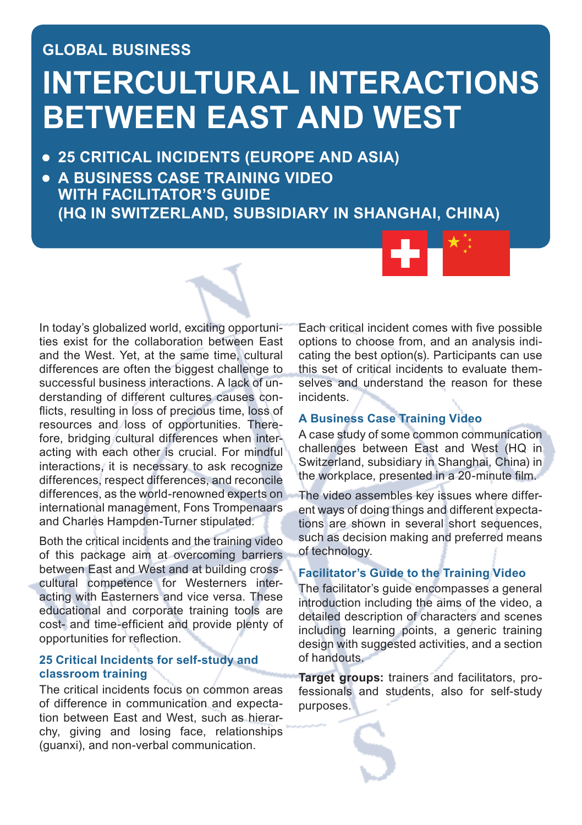# **GLOBAL BUSINESS INTERCULTURAL INTERACTIONS BETWEEN EAST AND WEST**

- **25 CRITICAL INCIDENTS (EUROPE AND ASIA)**
- **A BUSINESS CASE TRAINING VIDEO WITH FACILITATOR'S GUIDE (HQ IN SWITZERLAND, SUBSIDIARY IN SHANGHAI, CHINA)**



Both the critical incidents and the training video of this package aim at overcoming barriers between East and West and at building crosscultural competence for Westerners interacting with Easterners and vice versa. These educational and corporate training tools are cost- and time-efficient and provide plenty of opportunities for reflection.

#### **25 Critical Incidents for self-study and classroom training**

The critical incidents focus on common areas of difference in communication and expectation between East and West, such as hierarchy, giving and losing face, relationships (guanxi), and non-verbal communication.

Each critical incident comes with five possible options to choose from, and an analysis indicating the best option(s). Participants can use this set of critical incidents to evaluate themselves and understand the reason for these incidents.

#### **A Business Case Training Video**

A case study of some common communication challenges between East and West (HQ in Switzerland, subsidiary in Shanghai, China) in the workplace, presented in a 20-minute film.

The video assembles key issues where different ways of doing things and different expectations are shown in several short sequences. such as decision making and preferred means of technology.

#### **Facilitator's Guide to the Training Video**

The facilitator's guide encompasses a general introduction including the aims of the video, a detailed description of characters and scenes including learning points, a generic training design with suggested activities, and a section of handouts.

**Target groups:** trainers and facilitators, professionals and students, also for self-study purposes.